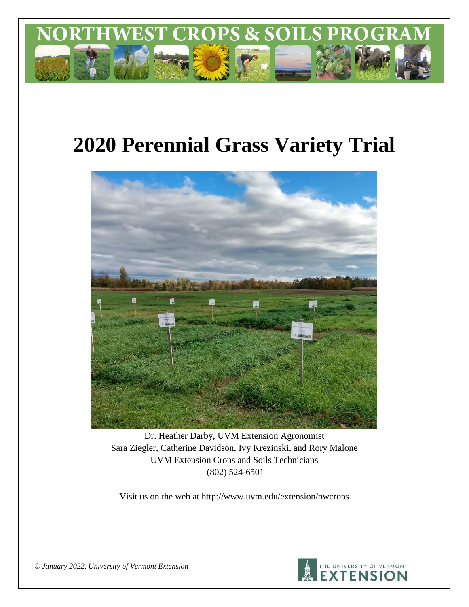

# **2020 Perennial Grass Variety Trial**



Dr. Heather Darby, UVM Extension Agronomist Sara Ziegler, Catherine Davidson, Ivy Krezinski, and Rory Malone UVM Extension Crops and Soils Technicians (802) 524-6501

Visit us on the web at http://www.uvm.edu/extension/nwcrops



*© January 2022, University of Vermont Extension*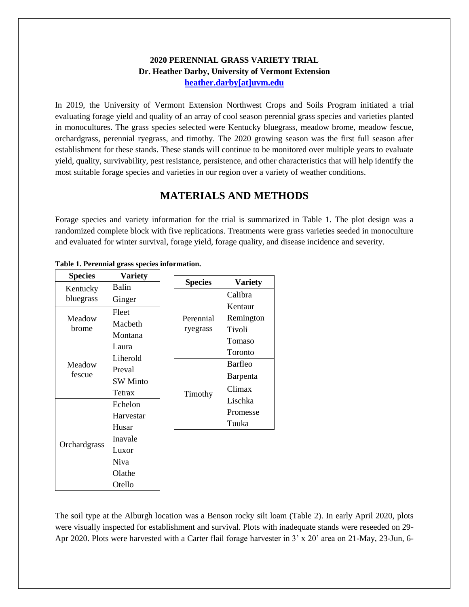## **2020 PERENNIAL GRASS VARIETY TRIAL Dr. Heather Darby, University of Vermont Extension [heather.darby\[at\]uvm.edu](mailto:heather.darby@uvm.edu?subject=2013%20Long%20Season%20Corn%20Report)**

In 2019, the University of Vermont Extension Northwest Crops and Soils Program initiated a trial evaluating forage yield and quality of an array of cool season perennial grass species and varieties planted in monocultures. The grass species selected were Kentucky bluegrass, meadow brome, meadow fescue, orchardgrass, perennial ryegrass, and timothy. The 2020 growing season was the first full season after establishment for these stands. These stands will continue to be monitored over multiple years to evaluate yield, quality, survivability, pest resistance, persistence, and other characteristics that will help identify the most suitable forage species and varieties in our region over a variety of weather conditions.

# **MATERIALS AND METHODS**

Forage species and variety information for the trial is summarized in Table 1. The plot design was a randomized complete block with five replications. Treatments were grass varieties seeded in monoculture and evaluated for winter survival, forage yield, forage quality, and disease incidence and severity.

| <b>Species</b> | <b>Variety</b>  |                |                |
|----------------|-----------------|----------------|----------------|
| Kentucky       | Balin           | <b>Species</b> | <b>Variety</b> |
| bluegrass      | Ginger          |                | Calibra        |
|                | Fleet           |                | Kentaur        |
| Meadow         | Macbeth         | Perennial      | Remington      |
| brome          |                 | ryegrass       | Tivoli         |
|                | Montana         |                | Tomaso         |
|                | Laura           |                | Toronto        |
| Meadow         | Liherold        |                | Barfleo        |
| fescue         | Preval          |                | Barpenta       |
|                | <b>SW</b> Minto |                |                |
|                | Tetrax          | Timothy        | Climax         |
|                | Echelon         |                | Lischka        |
|                | Harvestar       |                | Promesse       |
|                | Husar           |                | Tuuka          |
|                | Inavale         |                |                |
| Orchardgrass   | Luxor           |                |                |
|                | <b>Niva</b>     |                |                |
|                | Olathe          |                |                |
|                | Otello          |                |                |

#### **Table 1. Perennial grass species information.**

The soil type at the Alburgh location was a Benson rocky silt loam (Table 2). In early April 2020, plots were visually inspected for establishment and survival. Plots with inadequate stands were reseeded on 29- Apr 2020. Plots were harvested with a Carter flail forage harvester in 3' x 20' area on 21-May, 23-Jun, 6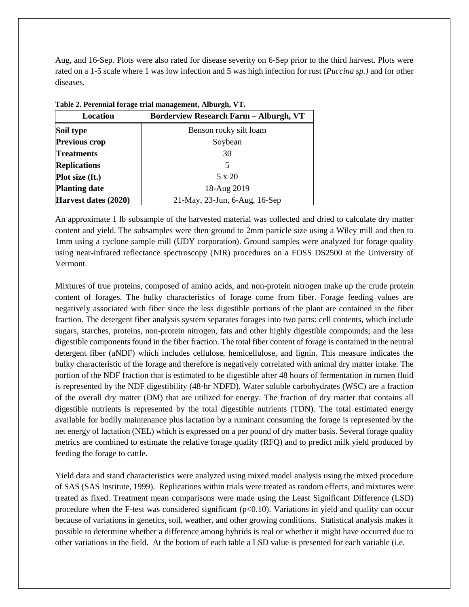Aug, and 16-Sep. Plots were also rated for disease severity on 6-Sep prior to the third harvest. Plots were rated on a 1-5 scale where 1 was low infection and 5 was high infection for rust (*Puccina sp.)* and for other diseases.

| Location             | $10000$ at 1 credition for age of an inventigation of those gives the<br><b>Borderview Research Farm - Alburgh, VT</b> |
|----------------------|------------------------------------------------------------------------------------------------------------------------|
| Soil type            | Benson rocky silt loam                                                                                                 |
| <b>Previous crop</b> | Soybean                                                                                                                |
| <b>Treatments</b>    | 30                                                                                                                     |
| <b>Replications</b>  | 5                                                                                                                      |
| Plot size (ft.)      | 5 x 20                                                                                                                 |
| <b>Planting date</b> | 18-Aug 2019                                                                                                            |
| Harvest dates (2020) | 21-May, 23-Jun, 6-Aug, 16-Sep                                                                                          |

**Table 2. Perennial forage trial management, Alburgh, VT.**

An approximate 1 lb subsample of the harvested material was collected and dried to calculate dry matter content and yield. The subsamples were then ground to 2mm particle size using a Wiley mill and then to 1mm using a cyclone sample mill (UDY corporation). Ground samples were analyzed for forage quality using near-infrared reflectance spectroscopy (NIR) procedures on a FOSS DS2500 at the University of Vermont.

Mixtures of true proteins, composed of amino acids, and non-protein nitrogen make up the crude protein content of forages. The bulky characteristics of forage come from fiber. Forage feeding values are negatively associated with fiber since the less digestible portions of the plant are contained in the fiber fraction. The detergent fiber analysis system separates forages into two parts: cell contents, which include sugars, starches, proteins, non-protein nitrogen, fats and other highly digestible compounds; and the less digestible components found in the fiber fraction. The total fiber content of forage is contained in the neutral detergent fiber (aNDF) which includes cellulose, hemicellulose, and lignin. This measure indicates the bulky characteristic of the forage and therefore is negatively correlated with animal dry matter intake. The portion of the NDF fraction that is estimated to be digestible after 48 hours of fermentation in rumen fluid is represented by the NDF digestibility (48-hr NDFD). Water soluble carbohydrates (WSC) are a fraction of the overall dry matter (DM) that are utilized for energy. The fraction of dry matter that contains all digestible nutrients is represented by the total digestible nutrients (TDN). The total estimated energy available for bodily maintenance plus lactation by a ruminant consuming the forage is represented by the net energy of lactation (NEL) which is expressed on a per pound of dry matter basis. Several forage quality metrics are combined to estimate the relative forage quality (RFQ) and to predict milk yield produced by feeding the forage to cattle.

Yield data and stand characteristics were analyzed using mixed model analysis using the mixed procedure of SAS (SAS Institute, 1999). Replications within trials were treated as random effects, and mixtures were treated as fixed. Treatment mean comparisons were made using the Least Significant Difference (LSD) procedure when the F-test was considered significant  $(p<0.10)$ . Variations in yield and quality can occur because of variations in genetics, soil, weather, and other growing conditions. Statistical analysis makes it possible to determine whether a difference among hybrids is real or whether it might have occurred due to other variations in the field. At the bottom of each table a LSD value is presented for each variable (i.e.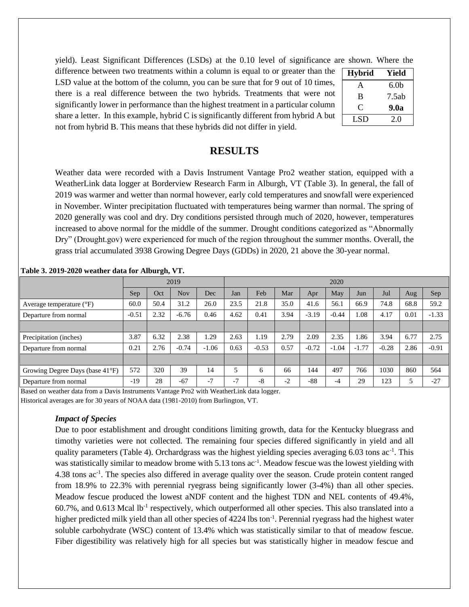yield). Least Significant Differences (LSDs) at the 0.10 level of significance are shown. Where the

difference between two treatments within a column is equal to or greater than the LSD value at the bottom of the column, you can be sure that for 9 out of 10 times, there is a real difference between the two hybrids. Treatments that were not significantly lower in performance than the highest treatment in a particular column share a letter. In this example, hybrid C is significantly different from hybrid A but not from hybrid B. This means that these hybrids did not differ in yield.

| <b>Hybrid</b> | Yield            |
|---------------|------------------|
| A             | 6.0 <sub>b</sub> |
| B             | 7.5ab            |
| ⊖             | 9.0a             |
| LSD           | 20               |

# **RESULTS**

Weather data were recorded with a Davis Instrument Vantage Pro2 weather station, equipped with a WeatherLink data logger at Borderview Research Farm in Alburgh, VT (Table 3). In general, the fall of 2019 was warmer and wetter than normal however, early cold temperatures and snowfall were experienced in November. Winter precipitation fluctuated with temperatures being warmer than normal. The spring of 2020 generally was cool and dry. Dry conditions persisted through much of 2020, however, temperatures increased to above normal for the middle of the summer. Drought conditions categorized as "Abnormally Dry" (Drought.gov) were experienced for much of the region throughout the summer months. Overall, the grass trial accumulated 3938 Growing Degree Days (GDDs) in 2020, 21 above the 30-year normal.

|                                     | 2019    |      |            |         |      | 2020    |      |         |         |         |         |      |         |
|-------------------------------------|---------|------|------------|---------|------|---------|------|---------|---------|---------|---------|------|---------|
|                                     | Sep     | Oct  | <b>Nov</b> | Dec     | Jan  | Feb     | Mar  | Apr     | May     | Jun     | Jul     | Aug  | Sep     |
| Average temperature $({}^{\circ}F)$ | 60.0    | 50.4 | 31.2       | 26.0    | 23.5 | 21.8    | 35.0 | 41.6    | 56.1    | 66.9    | 74.8    | 68.8 | 59.2    |
| Departure from normal               | $-0.51$ | 2.32 | $-6.76$    | 0.46    | 4.62 | 0.41    | 3.94 | $-3.19$ | $-0.44$ | 1.08    | 4.17    | 0.01 | $-1.33$ |
|                                     |         |      |            |         |      |         |      |         |         |         |         |      |         |
| Precipitation (inches)              | 3.87    | 6.32 | 2.38       | .29     | 2.63 | l.19    | 2.79 | 2.09    | 2.35    | 1.86    | 3.94    | 6.77 | 2.75    |
| Departure from normal               | 0.21    | 2.76 | $-0.74$    | $-1.06$ | 0.63 | $-0.53$ | 0.57 | $-0.72$ | $-1.04$ | $-1.77$ | $-0.28$ | 2.86 | $-0.91$ |
|                                     |         |      |            |         |      |         |      |         |         |         |         |      |         |
| Growing Degree Days (base 41°F)     | 572     | 320  | 39         | 14      |      | 6       | 66   | 144     | 497     | 766     | 1030    | 860  | 564     |
| Departure from normal               | $-19$   | 28   | $-67$      | $-7$    | $-7$ | $-8$    | $-2$ | $-88$   | $-4$    | 29      | 123     |      | $-27$   |

**Table 3. 2019-2020 weather data for Alburgh, VT.**

Based on weather data from a Davis Instruments Vantage Pro2 with WeatherLink data logger. Historical averages are for 30 years of NOAA data (1981-2010) from Burlington, VT.

#### *Impact of Species*

Due to poor establishment and drought conditions limiting growth, data for the Kentucky bluegrass and timothy varieties were not collected. The remaining four species differed significantly in yield and all quality parameters (Table 4). Orchardgrass was the highest yielding species averaging 6.03 tons ac<sup>-1</sup>. This was statistically similar to meadow brome with 5.13 tons ac<sup>-1</sup>. Meadow fescue was the lowest yielding with 4.38 tons ac<sup>-1</sup>. The species also differed in average quality over the season. Crude protein content ranged from 18.9% to 22.3% with perennial ryegrass being significantly lower (3-4%) than all other species. Meadow fescue produced the lowest aNDF content and the highest TDN and NEL contents of 49.4%, 60.7%, and 0.613 Mcal lb<sup>-1</sup> respectively, which outperformed all other species. This also translated into a higher predicted milk yield than all other species of 4224 lbs ton<sup>-1</sup>. Perennial ryegrass had the highest water soluble carbohydrate (WSC) content of 13.4% which was statistically similar to that of meadow fescue. Fiber digestibility was relatively high for all species but was statistically higher in meadow fescue and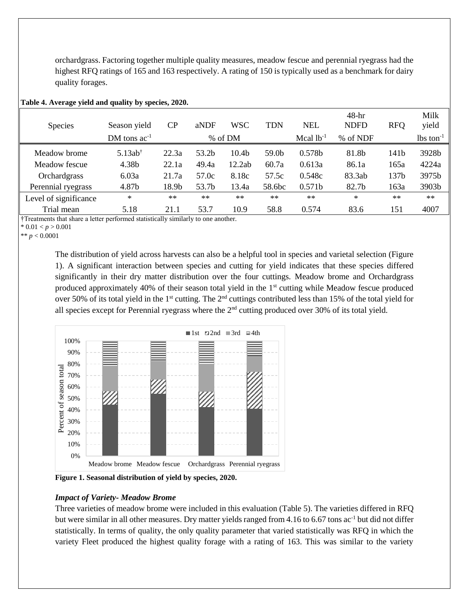orchardgrass. Factoring together multiple quality measures, meadow fescue and perennial ryegrass had the highest RFQ ratings of 165 and 163 respectively. A rating of 150 is typically used as a benchmark for dairy quality forages.

| <b>Species</b>        | Season yield<br>DM tons $ac^{-1}$ | CP    | aNDF  | <b>WSC</b><br>% of DM | <b>TDN</b>        | <b>NEL</b><br>Mcal $lb^{-1}$ | $48-hr$<br><b>NDFD</b><br>% of NDF | <b>RFQ</b>       | Milk<br>yield<br>$lbs$ ton <sup>-1</sup> |
|-----------------------|-----------------------------------|-------|-------|-----------------------|-------------------|------------------------------|------------------------------------|------------------|------------------------------------------|
|                       |                                   |       |       |                       |                   |                              |                                    |                  |                                          |
| Meadow brome          | $5.13ab^{\dagger}$                | 22.3a | 53.2b | 10.4 <sub>b</sub>     | 59.0 <sub>b</sub> | 0.578b                       | 81.8b                              | 141b             | 3928 <sub>b</sub>                        |
| Meadow fescue         | 4.38b                             | 22.1a | 49.4a | 12.2ab                | 60.7a             | 0.613a                       | 86.1a                              | 165a             | 4224a                                    |
| Orchardgrass          | 6.03a                             | 21.7a | 57.0c | 8.18c                 | 57.5c             | 0.548c                       | 83.3ab                             | 137 <sub>b</sub> | 3975b                                    |
| Perennial ryegrass    | 4.87b                             | 18.9b | 53.7b | 13.4a                 | 58.6bc            | 0.571b                       | 82.7b                              | 163a             | 3903b                                    |
| Level of significance | $\ast$                            | $**$  | $**$  | $**$                  | $**$              | $**$                         | $*$                                | $**$             | $**$                                     |
| Trial mean            | 5.18                              | 21.1  | 53.7  | 10.9                  | 58.8              | 0.574                        | 83.6                               | 151              | 4007                                     |

#### **Table 4. Average yield and quality by species, 2020.**

†Treatments that share a letter performed statistically similarly to one another.

 $*$  0.01 < *p* > 0.001

\*\*  $p < 0.0001$ 

The distribution of yield across harvests can also be a helpful tool in species and varietal selection (Figure 1). A significant interaction between species and cutting for yield indicates that these species differed significantly in their dry matter distribution over the four cuttings. Meadow brome and Orchardgrass produced approximately 40% of their season total yield in the 1<sup>st</sup> cutting while Meadow fescue produced over 50% of its total yield in the 1<sup>st</sup> cutting. The 2<sup>nd</sup> cuttings contributed less than 15% of the total yield for all species except for Perennial ryegrass where the 2<sup>nd</sup> cutting produced over 30% of its total yield.



**Figure 1. Seasonal distribution of yield by species, 2020.**

## *Impact of Variety- Meadow Brome*

Three varieties of meadow brome were included in this evaluation (Table 5). The varieties differed in RFQ but were similar in all other measures. Dry matter yields ranged from 4.16 to 6.67 tons ac<sup>-1</sup> but did not differ statistically. In terms of quality, the only quality parameter that varied statistically was RFQ in which the variety Fleet produced the highest quality forage with a rating of 163. This was similar to the variety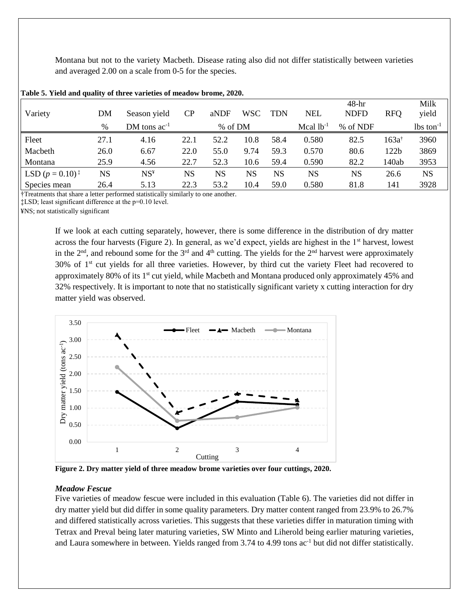Montana but not to the variety Macbeth. Disease rating also did not differ statistically between varieties and averaged 2.00 on a scale from 0-5 for the species.

| Variety                     | DM        | Season yield               | CP        | aNDF    | <b>WSC</b> | <b>TDN</b> | <b>NEL</b>     | $48-hr$<br><b>NDFD</b> | <b>RFO</b>       | Milk<br>yield           |
|-----------------------------|-----------|----------------------------|-----------|---------|------------|------------|----------------|------------------------|------------------|-------------------------|
|                             | %         | DM tons $ac^{-1}$          |           | % of DM |            |            | Mcal $lb^{-1}$ | % of NDF               |                  | $lbs$ ton <sup>-1</sup> |
| Fleet                       | 27.1      | 4.16                       | 22.1      | 52.2    | 10.8       | 58.4       | 0.580          | 82.5                   | $163a^{\dagger}$ | 3960                    |
| Macbeth                     | 26.0      | 6.67                       | 22.0      | 55.0    | 9.74       | 59.3       | 0.570          | 80.6                   | 122 <sub>b</sub> | 3869                    |
| Montana                     | 25.9      | 4.56                       | 22.7      | 52.3    | 10.6       | 59.4       | 0.590          | 82.2                   | 140ab            | 3953                    |
| LSD $(p = 0.10)^{\ddagger}$ | <b>NS</b> | $\mathrm{NS}^{\mathrm{g}}$ | <b>NS</b> | NS      | NS         | NS         | NS             | NS                     | 26.6             | <b>NS</b>               |
| Species mean                | 26.4      | 5.13                       | 22.3      | 53.2    | 10.4       | 59.0       | 0.580          | 81.8                   | 141              | 3928                    |

#### **Table 5. Yield and quality of three varieties of meadow brome, 2020.**

†Treatments that share a letter performed statistically similarly to one another.

‡LSD; least significant difference at the p=0.10 level.

¥NS; not statistically significant

If we look at each cutting separately, however, there is some difference in the distribution of dry matter across the four harvests (Figure 2). In general, as we'd expect, yields are highest in the 1st harvest, lowest in the  $2<sup>nd</sup>$ , and rebound some for the  $3<sup>rd</sup>$  and  $4<sup>th</sup>$  cutting. The yields for the  $2<sup>nd</sup>$  harvest were approximately  $30\%$  of  $1<sup>st</sup>$  cut yields for all three varieties. However, by third cut the variety Fleet had recovered to approximately 80% of its  $1<sup>st</sup>$  cut yield, while Macbeth and Montana produced only approximately 45% and 32% respectively. It is important to note that no statistically significant variety x cutting interaction for dry matter yield was observed.



**Figure 2. Dry matter yield of three meadow brome varieties over four cuttings, 2020.**

#### *Meadow Fescue*

Five varieties of meadow fescue were included in this evaluation (Table 6). The varieties did not differ in dry matter yield but did differ in some quality parameters. Dry matter content ranged from 23.9% to 26.7% and differed statistically across varieties. This suggests that these varieties differ in maturation timing with Tetrax and Preval being later maturing varieties, SW Minto and Liherold being earlier maturing varieties, and Laura somewhere in between. Yields ranged from 3.74 to 4.99 tons ac<sup>-1</sup> but did not differ statistically.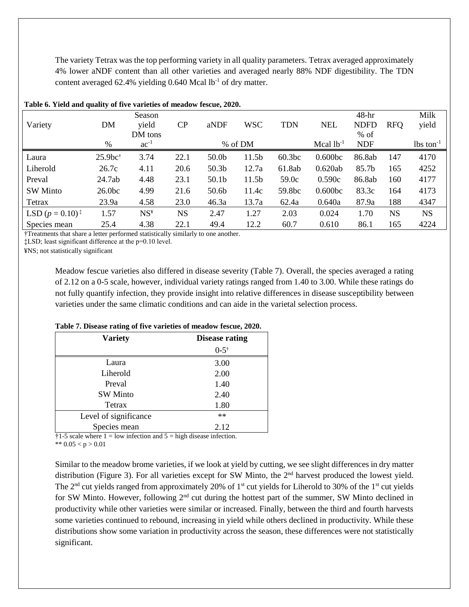The variety Tetrax was the top performing variety in all quality parameters. Tetrax averaged approximately 4% lower aNDF content than all other varieties and averaged nearly 88% NDF digestibility. The TDN content averaged 62.4% yielding  $0.640$  Mcal lb<sup>-1</sup> of dry matter.

|                             | $\mathbf{y}$ where $\mathbf{y}$ are $\mathbf{y}$ |                 |           |                   |                   |                    |                    |             |            |                         |
|-----------------------------|--------------------------------------------------|-----------------|-----------|-------------------|-------------------|--------------------|--------------------|-------------|------------|-------------------------|
|                             |                                                  | Season          |           |                   |                   |                    |                    | $48-hr$     |            | Milk                    |
| Variety                     | <b>DM</b>                                        | yield           | CP        | aNDF              | <b>WSC</b>        | <b>TDN</b>         | <b>NEL</b>         | <b>NDFD</b> | <b>RFO</b> | yield                   |
|                             |                                                  | DM tons         |           |                   |                   |                    |                    | $%$ of      |            |                         |
|                             | %                                                | $ac^{-1}$       |           |                   | % of DM           |                    | Mcal $lb^{-1}$     | <b>NDF</b>  |            | $lbs$ ton <sup>-1</sup> |
| Laura                       | $25.9bc$ †                                       | 3.74            | 22.1      | 50.0 <sub>b</sub> | 11.5 <sub>b</sub> | 60.3 <sub>bc</sub> | $0.600b$ c         | 86.8ab      | 147        | 4170                    |
| Liherold                    | 26.7c                                            | 4.11            | 20.6      | 50.3 <sub>b</sub> | 12.7a             | 61.8ab             | 0.620ab            | 85.7b       | 165        | 4252                    |
| Preval                      | 24.7ab                                           | 4.48            | 23.1      | 50.1 <sub>b</sub> | 11.5 <sub>b</sub> | 59.0c              | 0.590c             | 86.8ab      | 160        | 4177                    |
| <b>SW Minto</b>             | 26.0 <sub>bc</sub>                               | 4.99            | 21.6      | 50.6b             | 11.4c             | 59.8bc             | 0.600 <sub>b</sub> | 83.3c       | 164        | 4173                    |
| Tetrax                      | 23.9a                                            | 4.58            | 23.0      | 46.3a             | 13.7a             | 62.4a              | 0.640a             | 87.9a       | 188        | 4347                    |
| LSD $(p = 0.10)^{\ddagger}$ | 1.57                                             | NS <sup>Y</sup> | <b>NS</b> | 2.47              | 1.27              | 2.03               | 0.024              | 1.70        | <b>NS</b>  | <b>NS</b>               |
| Species mean                | 25.4                                             | 4.38            | 22.1      | 49.4              | 12.2              | 60.7               | 0.610              | 86.1        | 165        | 4224                    |

#### **Table 6. Yield and quality of five varieties of meadow fescue, 2020.**

†Treatments that share a letter performed statistically similarly to one another.

‡LSD; least significant difference at the p=0.10 level.

¥NS; not statistically significant

Meadow fescue varieties also differed in disease severity (Table 7). Overall, the species averaged a rating of 2.12 on a 0-5 scale, however, individual variety ratings ranged from 1.40 to 3.00. While these ratings do not fully quantify infection, they provide insight into relative differences in disease susceptibility between varieties under the same climatic conditions and can aide in the varietal selection process.

| <b>Variety</b>        | <b>Disease rating</b> |
|-----------------------|-----------------------|
|                       | $0 - 5^{\dagger}$     |
| Laura                 | 3.00                  |
| Liherold              | 2.00                  |
| Preval                | 1.40                  |
| <b>SW Minto</b>       | 2.40                  |
| Tetrax                | 1.80                  |
| Level of significance | $**$                  |
| Species mean          | 2.12                  |

**Table 7. Disease rating of five varieties of meadow fescue, 2020.**

 $\dagger$ 1-5 scale where 1 = low infection and 5 = high disease infection.

\*\*  $0.05 < p > 0.01$ 

Similar to the meadow brome varieties, if we look at yield by cutting, we see slight differences in dry matter distribution (Figure 3). For all varieties except for SW Minto, the 2<sup>nd</sup> harvest produced the lowest yield. The 2<sup>nd</sup> cut yields ranged from approximately 20% of 1<sup>st</sup> cut yields for Liherold to 30% of the 1<sup>st</sup> cut yields for SW Minto. However, following 2<sup>nd</sup> cut during the hottest part of the summer, SW Minto declined in productivity while other varieties were similar or increased. Finally, between the third and fourth harvests some varieties continued to rebound, increasing in yield while others declined in productivity. While these distributions show some variation in productivity across the season, these differences were not statistically significant.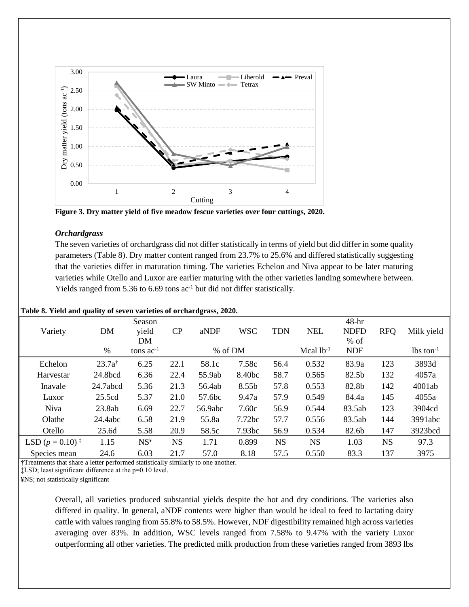

**Figure 3. Dry matter yield of five meadow fescue varieties over four cuttings, 2020.**

#### *Orchardgrass*

The seven varieties of orchardgrass did not differ statistically in terms of yield but did differ in some quality parameters (Table 8). Dry matter content ranged from 23.7% to 25.6% and differed statistically suggesting that the varieties differ in maturation timing. The varieties Echelon and Niva appear to be later maturing varieties while Otello and Luxor are earlier maturing with the other varieties landing somewhere between. Yields ranged from 5.36 to 6.69 tons  $ac^{-1}$  but did not differ statistically.

| <b>EXAMPLE OF A LUIGE GILGE GROUP</b> OF DUTIES THE FREEDOM OF OF CHARGE AND $\frac{1}{2}$ |                   |                 |           |         |            |            |                |             |            |                         |
|--------------------------------------------------------------------------------------------|-------------------|-----------------|-----------|---------|------------|------------|----------------|-------------|------------|-------------------------|
|                                                                                            |                   | Season          |           |         |            |            |                | $48-hr$     |            |                         |
| Variety                                                                                    | DM                | yield           | CP        | aNDF    | <b>WSC</b> | <b>TDN</b> | <b>NEL</b>     | <b>NDFD</b> | <b>RFQ</b> | Milk yield              |
|                                                                                            |                   | DΜ              |           |         |            |            |                | $%$ of      |            |                         |
|                                                                                            | $\%$              | tons $ac^{-1}$  |           | % of DM |            |            | Mcal $lb^{-1}$ | <b>NDF</b>  |            | $lbs$ ton <sup>-1</sup> |
| Echelon                                                                                    | $23.7a^{\dagger}$ | 6.25            | 22.1      | 58.1c   | 7.58c      | 56.4       | 0.532          | 83.9a       | 123        | 3893d                   |
| Harvestar                                                                                  | 24.8bcd           | 6.36            | 22.4      | 55.9ab  | 8.40bc     | 58.7       | 0.565          | 82.5b       | 132        | 4057a                   |
| Inavale                                                                                    | 24.7abcd          | 5.36            | 21.3      | 56.4ab  | 8.55b      | 57.8       | 0.553          | 82.8b       | 142        | 4001ab                  |
| Luxor                                                                                      | 25.5cd            | 5.37            | 21.0      | 57.6bc  | 9.47a      | 57.9       | 0.549          | 84.4a       | 145        | 4055a                   |
| <b>Niva</b>                                                                                | 23.8ab            | 6.69            | 22.7      | 56.9abc | 7.60c      | 56.9       | 0.544          | 83.5ab      | 123        | 3904cd                  |
| Olathe                                                                                     | 24.4abc           | 6.58            | 21.9      | 55.8a   | 7.72bc     | 57.7       | 0.556          | 83.5ab      | 144        | 3991abc                 |
| Otello                                                                                     | 25.6d             | 5.58            | 20.9      | 58.5c   | 7.93bc     | 56.9       | 0.534          | 82.6b       | 147        | 3923bcd                 |
| LSD $(p = 0.10)^{\ddagger}$                                                                | 1.15              | NS <sup>Y</sup> | <b>NS</b> | 1.71    | 0.899      | <b>NS</b>  | <b>NS</b>      | 1.03        | <b>NS</b>  | 97.3                    |
| Species mean                                                                               | 24.6              | 6.03            | 21.7      | 57.0    | 8.18       | 57.5       | 0.550          | 83.3        | 137        | 3975                    |

#### **Table 8. Yield and quality of seven varieties of orchardgrass, 2020.**

†Treatments that share a letter performed statistically similarly to one another.

‡LSD; least significant difference at the p=0.10 level.

¥NS; not statistically significant

Overall, all varieties produced substantial yields despite the hot and dry conditions. The varieties also differed in quality. In general, aNDF contents were higher than would be ideal to feed to lactating dairy cattle with values ranging from 55.8% to 58.5%. However, NDF digestibility remained high across varieties averaging over 83%. In addition, WSC levels ranged from 7.58% to 9.47% with the variety Luxor outperforming all other varieties. The predicted milk production from these varieties ranged from 3893 lbs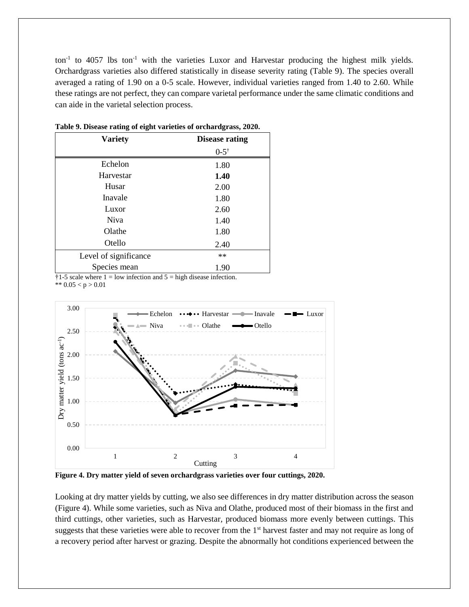$\text{tan}^{-1}$  to 4057 lbs ton<sup>-1</sup> with the varieties Luxor and Harvestar producing the highest milk yields. Orchardgrass varieties also differed statistically in disease severity rating (Table 9). The species overall averaged a rating of 1.90 on a 0-5 scale. However, individual varieties ranged from 1.40 to 2.60. While these ratings are not perfect, they can compare varietal performance under the same climatic conditions and can aide in the varietal selection process.

| <b>Variety</b>        | <b>Disease rating</b> |
|-----------------------|-----------------------|
|                       | $0 - 5^{\dagger}$     |
| Echelon               | 1.80                  |
| Harvestar             | 1.40                  |
| Husar                 | 2.00                  |
| Inavale               | 1.80                  |
| Luxor                 | 2.60                  |
| Niva                  | 1.40                  |
| Olathe                | 1.80                  |
| Otello                | 2.40                  |
| Level of significance | **                    |
| Species mean          | 1.90                  |

|  |  |  | Table 9. Disease rating of eight varieties of orchardgrass, 2020. |  |
|--|--|--|-------------------------------------------------------------------|--|
|  |  |  |                                                                   |  |

 $\dagger$ 1-5 scale where 1 = low infection and 5 = high disease infection. \*\*  $0.05 < p > 0.01$ 



**Figure 4. Dry matter yield of seven orchardgrass varieties over four cuttings, 2020.**

Looking at dry matter yields by cutting, we also see differences in dry matter distribution across the season (Figure 4). While some varieties, such as Niva and Olathe, produced most of their biomass in the first and third cuttings, other varieties, such as Harvestar, produced biomass more evenly between cuttings. This suggests that these varieties were able to recover from the 1<sup>st</sup> harvest faster and may not require as long of a recovery period after harvest or grazing. Despite the abnormally hot conditions experienced between the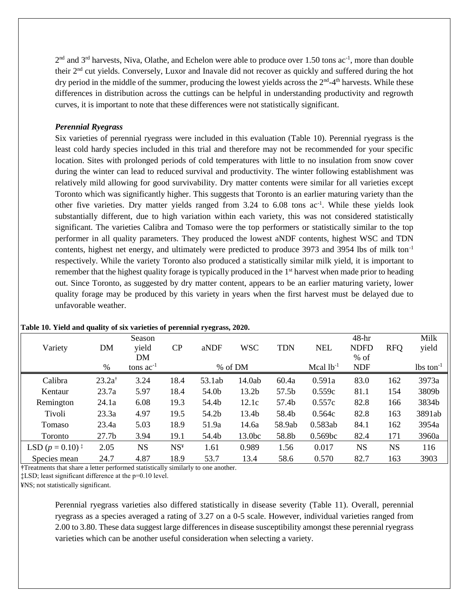$2<sup>nd</sup>$  and  $3<sup>rd</sup>$  harvests, Niva, Olathe, and Echelon were able to produce over 1.50 tons ac<sup>-1</sup>, more than double their 2nd cut yields. Conversely, Luxor and Inavale did not recover as quickly and suffered during the hot dry period in the middle of the summer, producing the lowest yields across the  $2<sup>nd</sup>$ -4<sup>th</sup> harvests. While these differences in distribution across the cuttings can be helpful in understanding productivity and regrowth curves, it is important to note that these differences were not statistically significant.

#### *Perennial Ryegrass*

Six varieties of perennial ryegrass were included in this evaluation (Table 10). Perennial ryegrass is the least cold hardy species included in this trial and therefore may not be recommended for your specific location. Sites with prolonged periods of cold temperatures with little to no insulation from snow cover during the winter can lead to reduced survival and productivity. The winter following establishment was relatively mild allowing for good survivability. Dry matter contents were similar for all varieties except Toronto which was significantly higher. This suggests that Toronto is an earlier maturing variety than the other five varieties. Dry matter yields ranged from 3.24 to 6.08 tons ac<sup>-1</sup>. While these yields look substantially different, due to high variation within each variety, this was not considered statistically significant. The varieties Calibra and Tomaso were the top performers or statistically similar to the top performer in all quality parameters. They produced the lowest aNDF contents, highest WSC and TDN contents, highest net energy, and ultimately were predicted to produce 3973 and 3954 lbs of milk ton-1 respectively. While the variety Toronto also produced a statistically similar milk yield, it is important to remember that the highest quality forage is typically produced in the 1<sup>st</sup> harvest when made prior to heading out. Since Toronto, as suggested by dry matter content, appears to be an earlier maturing variety, lower quality forage may be produced by this variety in years when the first harvest must be delayed due to unfavorable weather.

|                    |                   | Season         |                 |        |                   |            |                | $48-hr$     |            | Milk                  |
|--------------------|-------------------|----------------|-----------------|--------|-------------------|------------|----------------|-------------|------------|-----------------------|
| Variety            | DM                | yield          | CP              | aNDF   | <b>WSC</b>        | <b>TDN</b> | <b>NEL</b>     | <b>NDFD</b> | <b>RFO</b> | yield                 |
|                    |                   | DM             |                 |        |                   |            |                | $%$ of      |            |                       |
|                    | %                 | tons $ac^{-1}$ |                 |        | % of DM           |            | Mcal $lb^{-1}$ | <b>NDF</b>  |            | $\text{lbs ton}^{-1}$ |
| Calibra            | $23.2a^{\dagger}$ | 3.24           | 18.4            | 53.1ab | 14.0ab            | 60.4a      | 0.591a         | 83.0        | 162        | 3973a                 |
| Kentaur            | 23.7a             | 5.97           | 18.4            | 54.0b  | 13.2 <sub>b</sub> | 57.5b      | 0.559c         | 81.1        | 154        | 3809b                 |
| Remington          | 24.1a             | 6.08           | 19.3            | 54.4b  | 12.1c             | 57.4b      | 0.557c         | 82.8        | 166        | 3834b                 |
| Tivoli             | 23.3a             | 4.97           | 19.5            | 54.2b  | 13.4b             | 58.4b      | 0.564c         | 82.8        | 163        | 3891ab                |
| Tomaso             | 23.4a             | 5.03           | 18.9            | 51.9a  | 14.6a             | 58.9ab     | 0.583ab        | 84.1        | 162        | 3954a                 |
| Toronto            | 27.7 <sub>b</sub> | 3.94           | 19.1            | 54.4b  | 13.0bc            | 58.8b      | 0.569bc        | 82.4        | 171        | 3960a                 |
| LSD $(p = 0.10)^+$ | 2.05              | <b>NS</b>      | NS <sup>4</sup> | 1.61   | 0.989             | 1.56       | 0.017          | <b>NS</b>   | <b>NS</b>  | 116                   |
| Species mean       | 24.7              | 4.87           | 18.9            | 53.7   | 13.4              | 58.6       | 0.570          | 82.7        | 163        | 3903                  |

#### **Table 10. Yield and quality of six varieties of perennial ryegrass, 2020.**

**†**Treatments that share a letter performed statistically similarly to one another.

‡LSD; least significant difference at the p=0.10 level.

¥NS; not statistically significant.

Perennial ryegrass varieties also differed statistically in disease severity (Table 11). Overall, perennial ryegrass as a species averaged a rating of 3.27 on a 0-5 scale. However, individual varieties ranged from 2.00 to 3.80. These data suggest large differences in disease susceptibility amongst these perennial ryegrass varieties which can be another useful consideration when selecting a variety.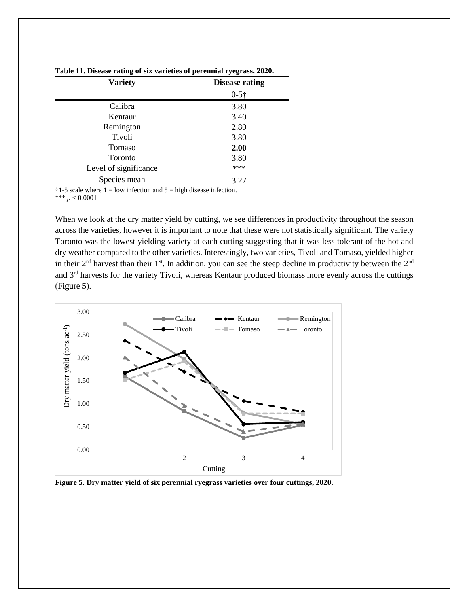| <b>Variety</b>        | <b>Disease rating</b> |  |  |  |
|-----------------------|-----------------------|--|--|--|
|                       | $0 - 5 +$             |  |  |  |
| Calibra               | 3.80                  |  |  |  |
| Kentaur               | 3.40                  |  |  |  |
| Remington             | 2.80                  |  |  |  |
| Tivoli                | 3.80                  |  |  |  |
| Tomaso                | 2.00                  |  |  |  |
| Toronto               | 3.80                  |  |  |  |
| Level of significance | ***                   |  |  |  |
| Species mean          | 3.27                  |  |  |  |

**Table 11. Disease rating of six varieties of perennial ryegrass, 2020.**

 $\frac{1}{1}$  +1-5 scale where 1 = low infection and 5 = high disease infection. \*\*\* *p* < 0.0001

When we look at the dry matter yield by cutting, we see differences in productivity throughout the season across the varieties, however it is important to note that these were not statistically significant. The variety Toronto was the lowest yielding variety at each cutting suggesting that it was less tolerant of the hot and dry weather compared to the other varieties. Interestingly, two varieties, Tivoli and Tomaso, yielded higher in their  $2<sup>nd</sup>$  harvest than their  $1<sup>st</sup>$ . In addition, you can see the steep decline in productivity between the  $2<sup>nd</sup>$ and 3rd harvests for the variety Tivoli, whereas Kentaur produced biomass more evenly across the cuttings (Figure 5).



**Figure 5. Dry matter yield of six perennial ryegrass varieties over four cuttings, 2020.**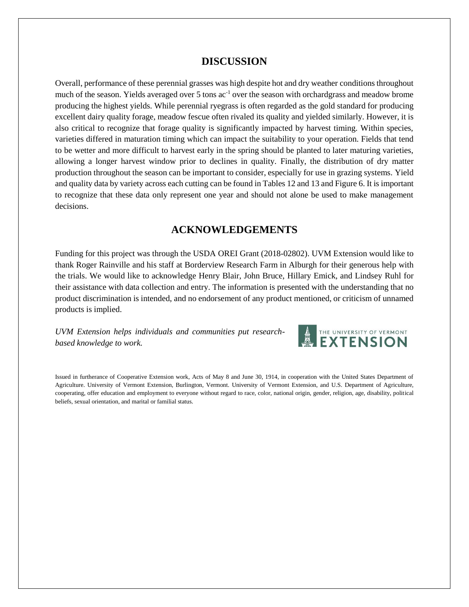## **DISCUSSION**

Overall, performance of these perennial grasses was high despite hot and dry weather conditions throughout much of the season. Yields averaged over 5 tons ac<sup>-1</sup> over the season with orchardgrass and meadow brome producing the highest yields. While perennial ryegrass is often regarded as the gold standard for producing excellent dairy quality forage, meadow fescue often rivaled its quality and yielded similarly. However, it is also critical to recognize that forage quality is significantly impacted by harvest timing. Within species, varieties differed in maturation timing which can impact the suitability to your operation. Fields that tend to be wetter and more difficult to harvest early in the spring should be planted to later maturing varieties, allowing a longer harvest window prior to declines in quality. Finally, the distribution of dry matter production throughout the season can be important to consider, especially for use in grazing systems. Yield and quality data by variety across each cutting can be found in Tables 12 and 13 and Figure 6. It is important to recognize that these data only represent one year and should not alone be used to make management decisions.

## **ACKNOWLEDGEMENTS**

Funding for this project was through the USDA OREI Grant (2018-02802). UVM Extension would like to thank Roger Rainville and his staff at Borderview Research Farm in Alburgh for their generous help with the trials. We would like to acknowledge Henry Blair, John Bruce, Hillary Emick, and Lindsey Ruhl for their assistance with data collection and entry. The information is presented with the understanding that no product discrimination is intended, and no endorsement of any product mentioned, or criticism of unnamed products is implied.

*UVM Extension helps individuals and communities put researchbased knowledge to work.*



Issued in furtherance of Cooperative Extension work, Acts of May 8 and June 30, 1914, in cooperation with the United States Department of Agriculture. University of Vermont Extension, Burlington, Vermont. University of Vermont Extension, and U.S. Department of Agriculture, cooperating, offer education and employment to everyone without regard to race, color, national origin, gender, religion, age, disability, political beliefs, sexual orientation, and marital or familial status.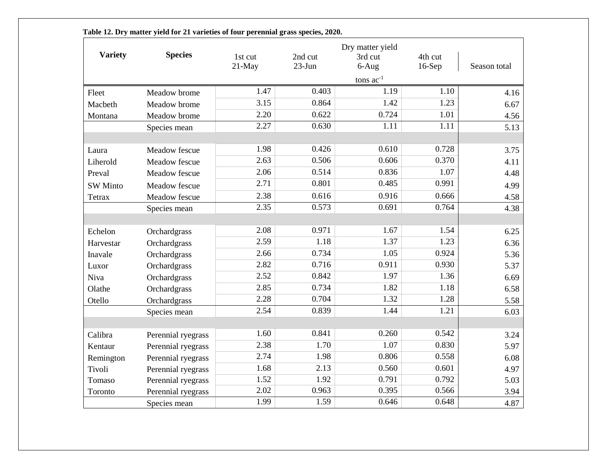|                 |                    | Dry matter yield |          |                |          |              |  |
|-----------------|--------------------|------------------|----------|----------------|----------|--------------|--|
| <b>Variety</b>  | <b>Species</b>     | 1st cut          | 2nd cut  | 3rd cut        | 4th cut  |              |  |
|                 |                    | $21-May$         | $23-Jun$ | $6-Aug$        | $16-Sep$ | Season total |  |
|                 |                    |                  |          | tons $ac^{-1}$ |          |              |  |
| Fleet           | Meadow brome       | 1.47             | 0.403    | 1.19           | 1.10     | 4.16         |  |
| Macbeth         | Meadow brome       | 3.15             | 0.864    | 1.42           | 1.23     | 6.67         |  |
| Montana         | Meadow brome       | 2.20             | 0.622    | 0.724          | 1.01     | 4.56         |  |
|                 | Species mean       | 2.27             | 0.630    | 1.11           | 1.11     | 5.13         |  |
|                 |                    |                  |          |                |          |              |  |
| Laura           | Meadow fescue      | 1.98             | 0.426    | 0.610          | 0.728    | 3.75         |  |
| Liherold        | Meadow fescue      | 2.63             | 0.506    | 0.606          | 0.370    | 4.11         |  |
| Preval          | Meadow fescue      | 2.06             | 0.514    | 0.836          | 1.07     | 4.48         |  |
| <b>SW</b> Minto | Meadow fescue      | 2.71             | 0.801    | 0.485          | 0.991    | 4.99         |  |
| Tetrax          | Meadow fescue      | 2.38             | 0.616    | 0.916          | 0.666    | 4.58         |  |
|                 | Species mean       | 2.35             | 0.573    | 0.691          | 0.764    | 4.38         |  |
|                 |                    |                  |          |                |          |              |  |
| Echelon         | Orchardgrass       | 2.08             | 0.971    | 1.67           | 1.54     | 6.25         |  |
| Harvestar       | Orchardgrass       | 2.59             | 1.18     | 1.37           | 1.23     | 6.36         |  |
| Inavale         | Orchardgrass       | 2.66             | 0.734    | 1.05           | 0.924    | 5.36         |  |
| Luxor           | Orchardgrass       | 2.82             | 0.716    | 0.911          | 0.930    | 5.37         |  |
| Niva            | Orchardgrass       | 2.52             | 0.842    | 1.97           | 1.36     | 6.69         |  |
| Olathe          | Orchardgrass       | 2.85             | 0.734    | 1.82           | 1.18     | 6.58         |  |
| Otello          | Orchardgrass       | 2.28             | 0.704    | 1.32           | 1.28     | 5.58         |  |
|                 | Species mean       | 2.54             | 0.839    | 1.44           | 1.21     | 6.03         |  |
|                 |                    |                  |          |                |          |              |  |
| Calibra         | Perennial ryegrass | 1.60             | 0.841    | 0.260          | 0.542    | 3.24         |  |
| Kentaur         | Perennial ryegrass | 2.38             | 1.70     | 1.07           | 0.830    | 5.97         |  |
| Remington       | Perennial ryegrass | 2.74             | 1.98     | 0.806          | 0.558    | 6.08         |  |
| <b>Tivoli</b>   | Perennial ryegrass | 1.68             | 2.13     | 0.560          | 0.601    | 4.97         |  |
| Tomaso          | Perennial ryegrass | 1.52             | 1.92     | 0.791          | 0.792    | 5.03         |  |
| Toronto         | Perennial ryegrass | 2.02             | 0.963    | 0.395          | 0.566    | 3.94         |  |
|                 | Species mean       | 1.99             | 1.59     | 0.646          | 0.648    | 4.87         |  |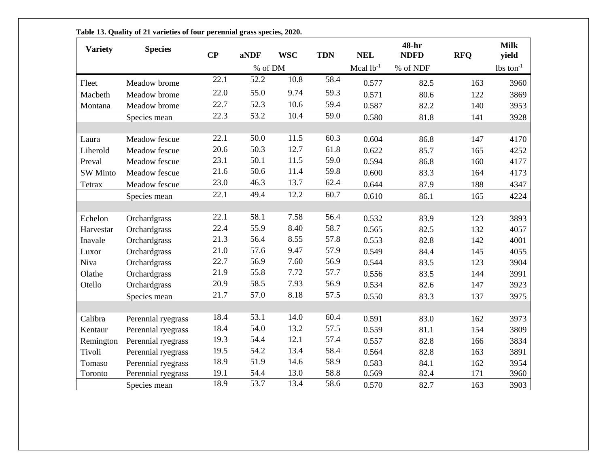| <b>Variety</b>  | <b>Species</b>     | $\bf CP$          | aNDF    | <b>WSC</b> | <b>TDN</b> | <b>NEL</b>     | 48-hr<br><b>NDFD</b> | <b>RFQ</b> | <b>Milk</b><br>yield    |
|-----------------|--------------------|-------------------|---------|------------|------------|----------------|----------------------|------------|-------------------------|
|                 |                    |                   | % of DM |            |            | Mcal $1b^{-1}$ | % of NDF             |            | $lbs$ ton <sup>-1</sup> |
| Fleet           | Meadow brome       | 22.1              | 52.2    | 10.8       | 58.4       | 0.577          | 82.5                 | 163        | 3960                    |
| Macbeth         | Meadow brome       | 22.0              | 55.0    | 9.74       | 59.3       | 0.571          | 80.6                 | 122        | 3869                    |
| Montana         | Meadow brome       | 22.7              | 52.3    | 10.6       | 59.4       | 0.587          | 82.2                 | 140        | 3953                    |
|                 | Species mean       | 22.3              | 53.2    | 10.4       | 59.0       | 0.580          | 81.8                 | 141        | 3928                    |
| Laura           | Meadow fescue      | 22.1              | 50.0    | 11.5       | 60.3       | 0.604          | 86.8                 | 147        | 4170                    |
| Liherold        | Meadow fescue      | 20.6              | 50.3    | 12.7       | 61.8       | 0.622          | 85.7                 | 165        | 4252                    |
| Preval          | Meadow fescue      | 23.1              | 50.1    | 11.5       | 59.0       | 0.594          | 86.8                 | 160        | 4177                    |
| <b>SW</b> Minto | Meadow fescue      | 21.6              | 50.6    | 11.4       | 59.8       | 0.600          | 83.3                 | 164        | 4173                    |
| Tetrax          | Meadow fescue      | 23.0              | 46.3    | 13.7       | 62.4       | 0.644          | 87.9                 | 188        | 4347                    |
|                 | Species mean       | $\overline{22.1}$ | 49.4    | 12.2       | 60.7       | 0.610          | 86.1                 | 165        | 4224                    |
| Echelon         | Orchardgrass       | 22.1              | 58.1    | 7.58       | 56.4       | 0.532          | 83.9                 | 123        | 3893                    |
| Harvestar       | Orchardgrass       | 22.4              | 55.9    | 8.40       | 58.7       | 0.565          | 82.5                 | 132        | 4057                    |
| Inavale         | Orchardgrass       | 21.3              | 56.4    | 8.55       | 57.8       | 0.553          | 82.8                 | 142        | 4001                    |
| Luxor           | Orchardgrass       | 21.0              | 57.6    | 9.47       | 57.9       | 0.549          | 84.4                 | 145        | 4055                    |
| Niva            | Orchardgrass       | 22.7              | 56.9    | 7.60       | 56.9       | 0.544          | 83.5                 | 123        | 3904                    |
| Olathe          | Orchardgrass       | 21.9              | 55.8    | 7.72       | 57.7       | 0.556          | 83.5                 | 144        | 3991                    |
| Otello          | Orchardgrass       | 20.9              | 58.5    | 7.93       | 56.9       | 0.534          | 82.6                 | 147        | 3923                    |
|                 | Species mean       | 21.7              | 57.0    | 8.18       | 57.5       | 0.550          | 83.3                 | 137        | 3975                    |
| Calibra         | Perennial ryegrass | 18.4              | 53.1    | 14.0       | 60.4       | 0.591          | 83.0                 | 162        | 3973                    |
| Kentaur         | Perennial ryegrass | 18.4              | 54.0    | 13.2       | 57.5       | 0.559          | 81.1                 | 154        | 3809                    |
| Remington       | Perennial ryegrass | 19.3              | 54.4    | 12.1       | 57.4       | 0.557          | 82.8                 | 166        | 3834                    |
| Tivoli          | Perennial ryegrass | 19.5              | 54.2    | 13.4       | 58.4       | 0.564          | 82.8                 | 163        | 3891                    |
| Tomaso          | Perennial ryegrass | 18.9              | 51.9    | 14.6       | 58.9       | 0.583          | 84.1                 | 162        | 3954                    |
| Toronto         | Perennial ryegrass | 19.1              | 54.4    | 13.0       | 58.8       | 0.569          | 82.4                 | 171        | 3960                    |
|                 | Species mean       | 18.9              | 53.7    | 13.4       | 58.6       | 0.570          | 82.7                 | 163        | 3903                    |